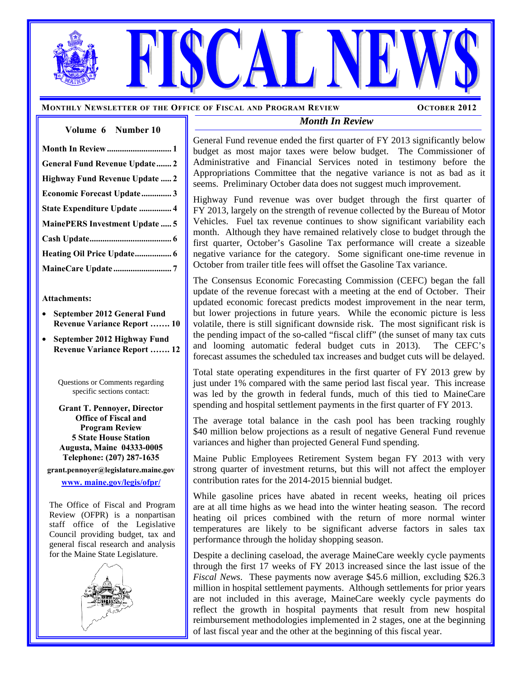**MONTHLY NEWSLETTER OF THE OFFICE OF FISCAL AND PROGRAM REVIEW OCTOBER 2012** 

#### **Volume****6 Number 10**

#### *Month In Review*

General Fund revenue ended the first quarter of FY 2013 significantly below budget as most major taxes were below budget. The Commissioner of Administrative and Financial Services noted in testimony before the Appropriations Committee that the negative variance is not as bad as it seems. Preliminary October data does not suggest much improvement.

Highway Fund revenue was over budget through the first quarter of FY 2013, largely on the strength of revenue collected by the Bureau of Motor Vehicles. Fuel tax revenue continues to show significant variability each month. Although they have remained relatively close to budget through the first quarter, October's Gasoline Tax performance will create a sizeable negative variance for the category. Some significant one-time revenue in October from trailer title fees will offset the Gasoline Tax variance.

The Consensus Economic Forecasting Commission (CEFC) began the fall update of the revenue forecast with a meeting at the end of October. Their updated economic forecast predicts modest improvement in the near term, but lower projections in future years. While the economic picture is less volatile, there is still significant downside risk. The most significant risk is the pending impact of the so-called "fiscal cliff" (the sunset of many tax cuts and looming automatic federal budget cuts in 2013). The CEFC's forecast assumes the scheduled tax increases and budget cuts will be delayed.

Total state operating expenditures in the first quarter of FY 2013 grew by just under 1% compared with the same period last fiscal year. This increase was led by the growth in federal funds, much of this tied to MaineCare spending and hospital settlement payments in the first quarter of FY 2013.

The average total balance in the cash pool has been tracking roughly \$40 million below projections as a result of negative General Fund revenue variances and higher than projected General Fund spending.

Maine Public Employees Retirement System began FY 2013 with very strong quarter of investment returns, but this will not affect the employer contribution rates for the 2014-2015 biennial budget.

While gasoline prices have abated in recent weeks, heating oil prices are at all time highs as we head into the winter heating season. The record heating oil prices combined with the return of more normal winter temperatures are likely to be significant adverse factors in sales tax performance through the holiday shopping season.

Despite a declining caseload, the average MaineCare weekly cycle payments through the first 17 weeks of FY 2013 increased since the last issue of the *Fiscal News*. These payments now average \$45.6 million, excluding \$26.3 million in hospital settlement payments. Although settlements for prior years are not included in this average, MaineCare weekly cycle payments do reflect the growth in hospital payments that result from new hospital reimbursement methodologies implemented in 2 stages, one at the beginning of last fiscal year and the other at the beginning of this fiscal year.

| <b>General Fund Revenue Update 2</b>  |
|---------------------------------------|
| Highway Fund Revenue Update  2        |
| Economic Forecast Update 3            |
| State Expenditure Update  4           |
| <b>MainePERS Investment Update  5</b> |
|                                       |
|                                       |
|                                       |

#### **Attachments:**

- **September 2012 General Fund Revenue Variance Report ……. 10**
- **September 2012 Highway Fund Revenue Variance Report ……. 12**

Questions or Comments regarding specific sections contact:

**Grant T. Pennoyer, Director Office of Fiscal and Program Review 5 State House Station Augusta, Maine 04333-0005 Telephone: (207) 287-1635 grant.pennoyer@legislature.maine.gov www. maine.gov/legis/ofpr/**

The Office of Fiscal and Program Review (OFPR) is a nonpartisan staff office of the Legislative Council providing budget, tax and general fiscal research and analysis for the Maine State Legislature.



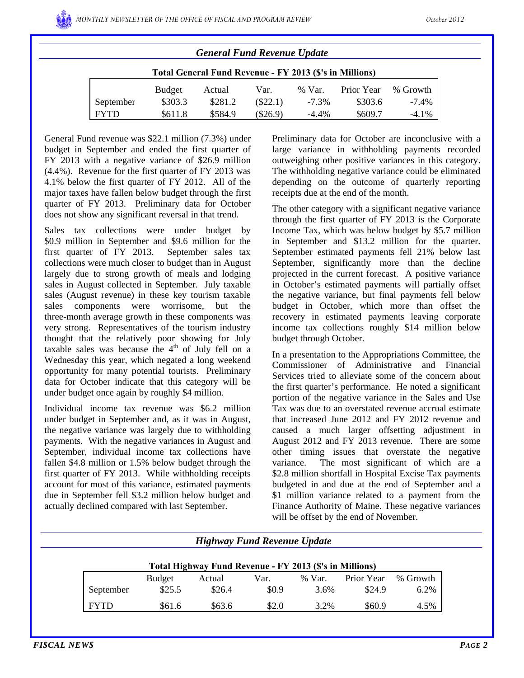| <b>General Fund Revenue Update</b>                      |               |         |            |          |            |          |  |  |
|---------------------------------------------------------|---------------|---------|------------|----------|------------|----------|--|--|
| Total General Fund Revenue - FY 2013 (\$'s in Millions) |               |         |            |          |            |          |  |  |
|                                                         | <b>Budget</b> | Actual  | Var.       | % Var.   | Prior Year | % Growth |  |  |
| September                                               | \$303.3       | \$281.2 | $(\$22.1)$ | $-7.3\%$ | \$303.6    | $-7.4\%$ |  |  |
| <b>FYTD</b>                                             | \$611.8       | \$584.9 | $(\$26.9)$ | $-4.4\%$ | \$609.7    | $-4.1\%$ |  |  |

General Fund revenue was \$22.1 million (7.3%) under budget in September and ended the first quarter of FY 2013 with a negative variance of \$26.9 million (4.4%). Revenue for the first quarter of FY 2013 was 4.1% below the first quarter of FY 2012. All of the major taxes have fallen below budget through the first quarter of FY 2013. Preliminary data for October does not show any significant reversal in that trend.

Sales tax collections were under budget by \$0.9 million in September and \$9.6 million for the first quarter of FY 2013. September sales tax collections were much closer to budget than in August largely due to strong growth of meals and lodging sales in August collected in September. July taxable sales (August revenue) in these key tourism taxable sales components were worrisome, but the three-month average growth in these components was very strong. Representatives of the tourism industry thought that the relatively poor showing for July taxable sales was because the  $4<sup>th</sup>$  of July fell on a Wednesday this year, which negated a long weekend opportunity for many potential tourists. Preliminary data for October indicate that this category will be under budget once again by roughly \$4 million.

Individual income tax revenue was \$6.2 million under budget in September and, as it was in August, the negative variance was largely due to withholding payments. With the negative variances in August and September, individual income tax collections have fallen \$4.8 million or 1.5% below budget through the first quarter of FY 2013. While withholding receipts account for most of this variance, estimated payments due in September fell \$3.2 million below budget and actually declined compared with last September.

Preliminary data for October are inconclusive with a large variance in withholding payments recorded outweighing other positive variances in this category. The withholding negative variance could be eliminated depending on the outcome of quarterly reporting receipts due at the end of the month.

The other category with a significant negative variance through the first quarter of FY 2013 is the Corporate Income Tax, which was below budget by \$5.7 million in September and \$13.2 million for the quarter. September estimated payments fell 21% below last September, significantly more than the decline projected in the current forecast. A positive variance in October's estimated payments will partially offset the negative variance, but final payments fell below budget in October, which more than offset the recovery in estimated payments leaving corporate income tax collections roughly \$14 million below budget through October.

In a presentation to the Appropriations Committee, the Commissioner of Administrative and Financial Services tried to alleviate some of the concern about the first quarter's performance. He noted a significant portion of the negative variance in the Sales and Use Tax was due to an overstated revenue accrual estimate that increased June 2012 and FY 2012 revenue and caused a much larger offsetting adjustment in August 2012 and FY 2013 revenue. There are some other timing issues that overstate the negative variance. The most significant of which are a \$2.8 million shortfall in Hospital Excise Tax payments budgeted in and due at the end of September and a \$1 million variance related to a payment from the Finance Authority of Maine. These negative variances will be offset by the end of November.

|                                                         |               | <b>Highway Fund Revenue Update</b> |       |        |            |          |  |  |
|---------------------------------------------------------|---------------|------------------------------------|-------|--------|------------|----------|--|--|
| Total Highway Fund Revenue - FY 2013 (\$'s in Millions) |               |                                    |       |        |            |          |  |  |
|                                                         | <b>Budget</b> | Actual                             | Var.  | % Var. | Prior Year | % Growth |  |  |
| September                                               | \$25.5        | \$26.4                             | \$0.9 | 3.6%   | \$24.9     | 6.2%     |  |  |
| <b>FYTD</b>                                             | \$61.6        | \$63.6                             | \$2.0 | 3.2%   | \$60.9     | 4.5%     |  |  |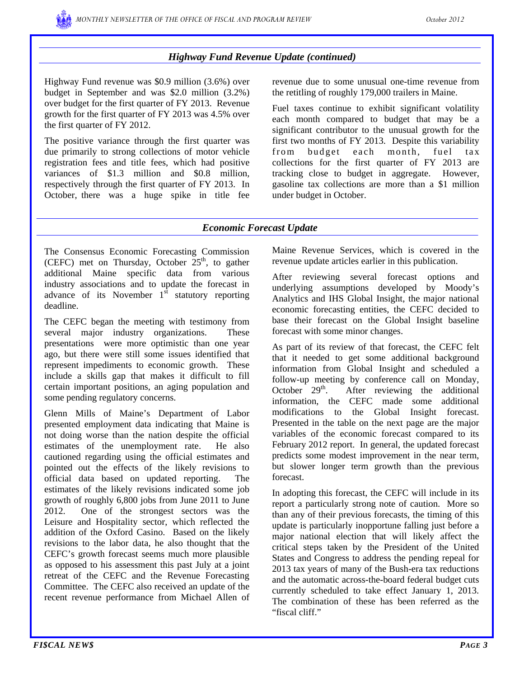### *Highway Fund Revenue Update (continued)*

Highway Fund revenue was \$0.9 million (3.6%) over budget in September and was \$2.0 million (3.2%) over budget for the first quarter of FY 2013. Revenue growth for the first quarter of FY 2013 was 4.5% over the first quarter of FY 2012.

The positive variance through the first quarter was due primarily to strong collections of motor vehicle registration fees and title fees, which had positive variances of \$1.3 million and \$0.8 million, respectively through the first quarter of FY 2013. In October, there was a huge spike in title fee

revenue due to some unusual one-time revenue from the retitling of roughly 179,000 trailers in Maine.

Fuel taxes continue to exhibit significant volatility each month compared to budget that may be a significant contributor to the unusual growth for the first two months of FY 2013. Despite this variability from budget each month, fuel tax collections for the first quarter of FY 2013 are tracking close to budget in aggregate. However, gasoline tax collections are more than a \$1 million under budget in October.

#### *Economic Forecast Update*

The Consensus Economic Forecasting Commission (CEFC) met on Thursday, October  $25<sup>th</sup>$ , to gather additional Maine specific data from various industry associations and to update the forecast in advance of its November  $1<sup>st</sup>$  statutory reporting deadline.

The CEFC began the meeting with testimony from several major industry organizations. These presentations were more optimistic than one year ago, but there were still some issues identified that represent impediments to economic growth. These include a skills gap that makes it difficult to fill certain important positions, an aging population and some pending regulatory concerns.

Glenn Mills of Maine's Department of Labor presented employment data indicating that Maine is not doing worse than the nation despite the official estimates of the unemployment rate. He also cautioned regarding using the official estimates and pointed out the effects of the likely revisions to official data based on updated reporting. The estimates of the likely revisions indicated some job growth of roughly 6,800 jobs from June 2011 to June 2012. One of the strongest sectors was the Leisure and Hospitality sector, which reflected the addition of the Oxford Casino. Based on the likely revisions to the labor data, he also thought that the CEFC's growth forecast seems much more plausible as opposed to his assessment this past July at a joint retreat of the CEFC and the Revenue Forecasting Committee. The CEFC also received an update of the recent revenue performance from Michael Allen of Maine Revenue Services, which is covered in the revenue update articles earlier in this publication.

After reviewing several forecast options and underlying assumptions developed by Moody's Analytics and IHS Global Insight, the major national economic forecasting entities, the CEFC decided to base their forecast on the Global Insight baseline forecast with some minor changes.

As part of its review of that forecast, the CEFC felt that it needed to get some additional background information from Global Insight and scheduled a follow-up meeting by conference call on Monday, October  $29<sup>th</sup>$ . After reviewing the additional information, the CEFC made some additional modifications to the Global Insight forecast. Presented in the table on the next page are the major variables of the economic forecast compared to its February 2012 report. In general, the updated forecast predicts some modest improvement in the near term, but slower longer term growth than the previous forecast.

In adopting this forecast, the CEFC will include in its report a particularly strong note of caution. More so than any of their previous forecasts, the timing of this update is particularly inopportune falling just before a major national election that will likely affect the critical steps taken by the President of the United States and Congress to address the pending repeal for 2013 tax years of many of the Bush-era tax reductions and the automatic across-the-board federal budget cuts currently scheduled to take effect January 1, 2013. The combination of these has been referred as the "fiscal cliff."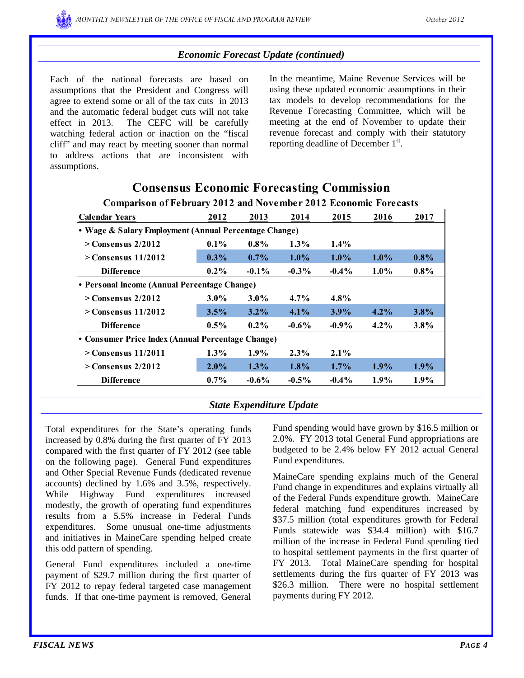#### *Economic Forecast Update (continued)*

Each of the national forecasts are based on assumptions that the President and Congress will agree to extend some or all of the tax cuts in 2013 and the automatic federal budget cuts will not take effect in 2013. The CEFC will be carefully watching federal action or inaction on the "fiscal cliff" and may react by meeting sooner than normal to address actions that are inconsistent with assumptions.

In the meantime, Maine Revenue Services will be using these updated economic assumptions in their tax models to develop recommendations for the Revenue Forecasting Committee, which will be meeting at the end of November to update their revenue forecast and comply with their statutory reporting deadline of December 1<sup>st</sup>.

| Comparison of February 2012 and two ember 2012 Economic Forecasts |         |          |          |          |         |         |  |  |  |  |
|-------------------------------------------------------------------|---------|----------|----------|----------|---------|---------|--|--|--|--|
| <b>Calendar Years</b>                                             | 2012    | 2013     | 2014     | 2015     | 2016    | 2017    |  |  |  |  |
| • Wage & Salary Employment (Annual Percentage Change)             |         |          |          |          |         |         |  |  |  |  |
| $>$ Consensus 2/2012                                              | $0.1\%$ | $0.8\%$  | $1.3\%$  | $1.4\%$  |         |         |  |  |  |  |
| $>$ Consensus 11/2012                                             | $0.3\%$ | $0.7\%$  | $1.0\%$  | $1.0\%$  | $1.0\%$ | $0.8\%$ |  |  |  |  |
| <b>Difference</b>                                                 | $0.2\%$ | $-0.1\%$ | $-0.3\%$ | $-0.4\%$ | $1.0\%$ | $0.8\%$ |  |  |  |  |
| • Personal Income (Annual Percentage Change)                      |         |          |          |          |         |         |  |  |  |  |
| $>$ Consensus 2/2012                                              | $3.0\%$ | $3.0\%$  | $4.7\%$  | $4.8\%$  |         |         |  |  |  |  |
| $>$ Consensus 11/2012                                             | 3.5%    | $3.2\%$  | $4.1\%$  | $3.9\%$  | $4.2\%$ | 3.8%    |  |  |  |  |
| <b>Difference</b>                                                 | $0.5\%$ | $0.2\%$  | $-0.6\%$ | $-0.9\%$ | $4.2\%$ | $3.8\%$ |  |  |  |  |
| • Consumer Price Index (Annual Percentage Change)                 |         |          |          |          |         |         |  |  |  |  |
| $>$ Consensus 11/2011                                             | $1.3\%$ | $1.9\%$  | $2.3\%$  | $2.1\%$  |         |         |  |  |  |  |
| $>$ Consensus 2/2012                                              | $2.0\%$ | $1.3\%$  | 1.8%     | $1.7\%$  | $1.9\%$ | $1.9\%$ |  |  |  |  |
| <b>Difference</b>                                                 | $0.7\%$ | $-0.6\%$ | $-0.5\%$ | $-0.4\%$ | 1.9%    | $1.9\%$ |  |  |  |  |

#### **Comparison of February 2012 and November 2012 Economic Forecasts Consensus Economic Forecasting Commission**

#### *State Expenditure Update*

Total expenditures for the State's operating funds increased by 0.8% during the first quarter of FY 2013 compared with the first quarter of FY 2012 (see table on the following page). General Fund expenditures and Other Special Revenue Funds (dedicated revenue accounts) declined by 1.6% and 3.5%, respectively. While Highway Fund expenditures increased modestly, the growth of operating fund expenditures results from a 5.5% increase in Federal Funds expenditures. Some unusual one-time adjustments and initiatives in MaineCare spending helped create this odd pattern of spending.

General Fund expenditures included a one-time payment of \$29.7 million during the first quarter of FY 2012 to repay federal targeted case management funds. If that one-time payment is removed, General

Fund spending would have grown by \$16.5 million or 2.0%. FY 2013 total General Fund appropriations are budgeted to be 2.4% below FY 2012 actual General Fund expenditures.

MaineCare spending explains much of the General Fund change in expenditures and explains virtually all of the Federal Funds expenditure growth. MaineCare federal matching fund expenditures increased by \$37.5 million (total expenditures growth for Federal Funds statewide was \$34.4 million) with \$16.7 million of the increase in Federal Fund spending tied to hospital settlement payments in the first quarter of FY 2013. Total MaineCare spending for hospital settlements during the firs quarter of FY 2013 was \$26.3 million. There were no hospital settlement payments during FY 2012.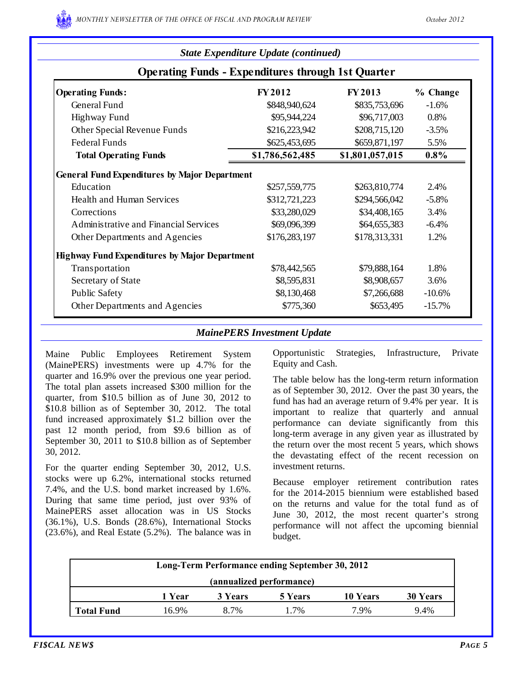|                                                           | <b>State Expenditure Update (continued)</b> |                 |          |  |  |  |  |  |
|-----------------------------------------------------------|---------------------------------------------|-----------------|----------|--|--|--|--|--|
| <b>Operating Funds - Expenditures through 1st Quarter</b> |                                             |                 |          |  |  |  |  |  |
| <b>Operating Funds:</b>                                   | <b>FY2012</b>                               | <b>FY2013</b>   | % Change |  |  |  |  |  |
| General Fund                                              | \$848,940,624                               | \$835,753,696   | $-1.6%$  |  |  |  |  |  |
| <b>Highway Fund</b>                                       | \$95,944,224                                | \$96,717,003    | 0.8%     |  |  |  |  |  |
| Other Special Revenue Funds                               | \$216,223,942                               | \$208,715,120   | $-3.5%$  |  |  |  |  |  |
| <b>Federal Funds</b>                                      | \$625,453,695                               | \$659,871,197   | 5.5%     |  |  |  |  |  |
| <b>Total Operating Funds</b>                              | \$1,786,562,485                             | \$1,801,057,015 | $0.8\%$  |  |  |  |  |  |
| <b>General Fund Expenditures by Major Department</b>      |                                             |                 |          |  |  |  |  |  |
| Education                                                 | \$257,559,775                               | \$263,810,774   | 2.4%     |  |  |  |  |  |
| <b>Health and Human Services</b>                          | \$312,721,223                               | \$294,566,042   | $-5.8%$  |  |  |  |  |  |
| Corrections                                               | \$33,280,029                                | \$34,408,165    | 3.4%     |  |  |  |  |  |
| Administrative and Financial Services                     | \$69,096,399                                | \$64,655,383    | $-6.4%$  |  |  |  |  |  |
| Other Departments and Agencies                            | \$176,283,197                               | \$178,313,331   | 1.2%     |  |  |  |  |  |
| <b>Highway Fund Expenditures by Major Department</b>      |                                             |                 |          |  |  |  |  |  |
| Transportation                                            | \$78,442,565                                | \$79,888,164    | 1.8%     |  |  |  |  |  |
| Secretary of State                                        | \$8,595,831                                 | \$8,908,657     | 3.6%     |  |  |  |  |  |
| <b>Public Safety</b>                                      | \$8,130,468                                 | \$7,266,688     | $-10.6%$ |  |  |  |  |  |
| Other Departments and Agencies                            | \$775,360                                   | \$653,495       | $-15.7%$ |  |  |  |  |  |

### *MainePERS Investment Update*

Maine Public Employees Retirement System (MainePERS) investments were up 4.7% for the quarter and 16.9% over the previous one year period. The total plan assets increased \$300 million for the quarter, from \$10.5 billion as of June 30, 2012 to \$10.8 billion as of September 30, 2012. The total fund increased approximately \$1.2 billion over the past 12 month period, from \$9.6 billion as of September 30, 2011 to \$10.8 billion as of September 30, 2012.

For the quarter ending September 30, 2012, U.S. stocks were up 6.2%, international stocks returned 7.4%, and the U.S. bond market increased by 1.6%. During that same time period, just over 93% of MainePERS asset allocation was in US Stocks (36.1%), U.S. Bonds (28.6%), International Stocks (23.6%), and Real Estate (5.2%). The balance was in Opportunistic Strategies, Infrastructure, Private Equity and Cash.

The table below has the long-term return information as of September 30, 2012. Over the past 30 years, the fund has had an average return of 9.4% per year. It is important to realize that quarterly and annual performance can deviate significantly from this long-term average in any given year as illustrated by the return over the most recent 5 years, which shows the devastating effect of the recent recession on investment returns.

Because employer retirement contribution rates for the 2014-2015 biennium were established based on the returns and value for the total fund as of June 30, 2012, the most recent quarter's strong performance will not affect the upcoming biennial budget.

| Long-Term Performance ending September 30, 2012 |        |         |                |          |                 |  |  |  |
|-------------------------------------------------|--------|---------|----------------|----------|-----------------|--|--|--|
| (annualized performance)                        |        |         |                |          |                 |  |  |  |
|                                                 | 1 Year | 3 Years | <b>5 Years</b> | 10 Years | <b>30 Years</b> |  |  |  |
| <b>Total Fund</b>                               | 16.9%  | 8.7%    | 1.7%           | 7.9%     | 9.4%            |  |  |  |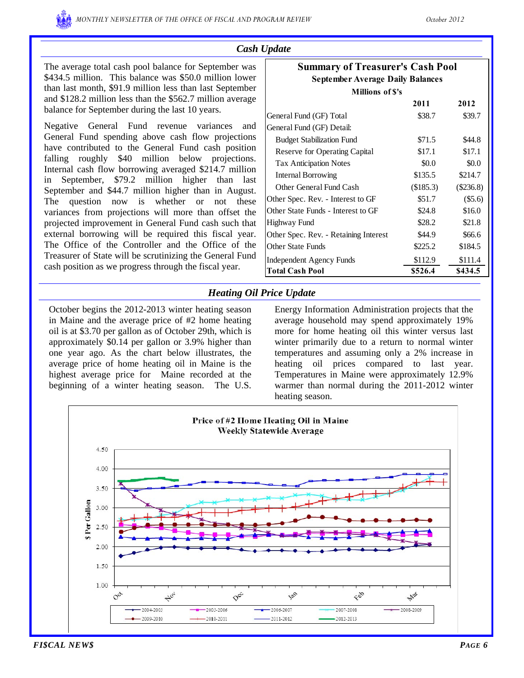#### *Cash Update*

The average total cash pool balance for September was \$434.5 million. This balance was \$50.0 million lower than last month, \$91.9 million less than last September and \$128.2 million less than the \$562.7 million average balance for September during the last 10 years.

Negative General Fund revenue variances and General Fund spending above cash flow projections have contributed to the General Fund cash position falling roughly \$40 million below projections. Internal cash flow borrowing averaged \$214.7 million in September, \$79.2 million higher than last September and \$44.7 million higher than in August. The question now is whether or not these variances from projections will more than offset the projected improvement in General Fund cash such that external borrowing will be required this fiscal year. The Office of the Controller and the Office of the Treasurer of State will be scrutinizing the General Fund cash position as we progress through the fiscal year.

| <b>Summary of Treasurer's Cash Pool</b> |           |           |  |  |  |  |  |  |  |
|-----------------------------------------|-----------|-----------|--|--|--|--|--|--|--|
| <b>September Average Daily Balances</b> |           |           |  |  |  |  |  |  |  |
| <b>Millions of S's</b>                  |           |           |  |  |  |  |  |  |  |
|                                         | 2011      | 2012      |  |  |  |  |  |  |  |
| General Fund (GF) Total                 | \$38.7    | \$39.7    |  |  |  |  |  |  |  |
| General Fund (GF) Detail:               |           |           |  |  |  |  |  |  |  |
| <b>Budget Stabilization Fund</b>        | \$71.5    | \$44.8    |  |  |  |  |  |  |  |
| Reserve for Operating Capital           | \$17.1    | \$17.1    |  |  |  |  |  |  |  |
| <b>Tax Anticipation Notes</b>           | \$0.0     | \$0.0     |  |  |  |  |  |  |  |
| Internal Borrowing                      | \$135.5   | \$214.7   |  |  |  |  |  |  |  |
| Other General Fund Cash                 | (\$185.3) | (\$236.8) |  |  |  |  |  |  |  |
| Other Spec. Rev. - Interest to GF       | \$51.7    | $(\$5.6)$ |  |  |  |  |  |  |  |
| Other State Funds - Interest to GF      | \$24.8    | \$16.0    |  |  |  |  |  |  |  |
| Highway Fund                            | \$28.2    | \$21.8    |  |  |  |  |  |  |  |
| Other Spec. Rev. - Retaining Interest   | \$44.9    | \$66.6    |  |  |  |  |  |  |  |
| Other State Funds                       | \$225.2   | \$184.5   |  |  |  |  |  |  |  |
| Independent Agency Funds                | \$112.9   | \$111.4   |  |  |  |  |  |  |  |
| <b>Total Cash Pool</b>                  | \$526.4   | \$434.5   |  |  |  |  |  |  |  |

#### *Heating Oil Price Update*

October begins the 2012-2013 winter heating season in Maine and the average price of #2 home heating oil is at \$3.70 per gallon as of October 29th, which is approximately \$0.14 per gallon or 3.9% higher than one year ago. As the chart below illustrates, the average price of home heating oil in Maine is the highest average price for Maine recorded at the beginning of a winter heating season. The U.S.

Energy Information Administration projects that the average household may spend approximately 19% more for home heating oil this winter versus last winter primarily due to a return to normal winter temperatures and assuming only a 2% increase in heating oil prices compared to last year. Temperatures in Maine were approximately 12.9% warmer than normal during the 2011-2012 winter heating season.

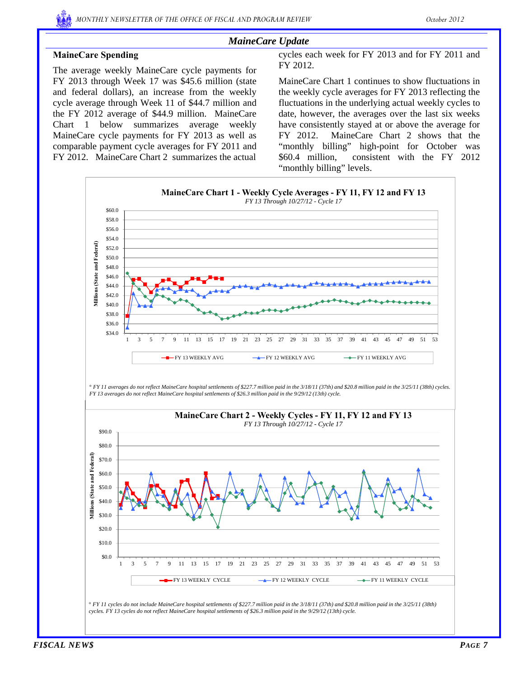## *MaineCare Update*

## **MaineCare Spending**

The average weekly MaineCare cycle payments for FY 2013 through Week 17 was \$45.6 million (state and federal dollars), an increase from the weekly cycle average through Week 11 of \$44.7 million and the FY 2012 average of \$44.9 million. MaineCare Chart 1 below summarizes average weekly MaineCare cycle payments for FY 2013 as well as comparable payment cycle averages for FY 2011 and FY 2012. MaineCare Chart 2 summarizes the actual

cycles each week for FY 2013 and for FY 2011 and FY 2012.

MaineCare Chart 1 continues to show fluctuations in the weekly cycle averages for FY 2013 reflecting the fluctuations in the underlying actual weekly cycles to date, however, the averages over the last six weeks have consistently stayed at or above the average for FY 2012. MaineCare Chart 2 shows that the "monthly billing" high-point for October was \$60.4 million, consistent with the FY 2012 "monthly billing" levels.

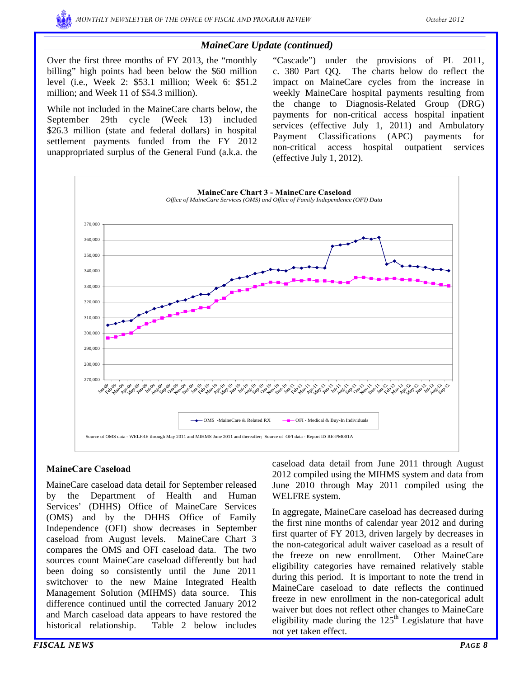### *MaineCare Update (continued)*

Over the first three months of FY 2013, the "monthly billing" high points had been below the \$60 million level (i.e., Week 2: \$53.1 million; Week 6: \$51.2 million; and Week 11 of \$54.3 million).

While not included in the MaineCare charts below, the September 29th cycle (Week 13) included \$26.3 million (state and federal dollars) in hospital settlement payments funded from the FY 2012 unappropriated surplus of the General Fund (a.k.a. the "Cascade") under the provisions of PL 2011, c. 380 Part QQ. The charts below do reflect the impact on MaineCare cycles from the increase in weekly MaineCare hospital payments resulting from the change to Diagnosis-Related Group (DRG) payments for non-critical access hospital inpatient services (effective July 1, 2011) and Ambulatory Payment Classifications (APC) payments for non-critical access hospital outpatient services (effective July 1, 2012).



#### **MaineCare Caseload**

MaineCare caseload data detail for September released by the Department of Health and Human Services' (DHHS) Office of MaineCare Services (OMS) and by the DHHS Office of Family Independence (OFI) show decreases in September caseload from August levels. MaineCare Chart 3 compares the OMS and OFI caseload data. The two sources count MaineCare caseload differently but had been doing so consistently until the June 2011 switchover to the new Maine Integrated Health Management Solution (MIHMS) data source. This difference continued until the corrected January 2012 and March caseload data appears to have restored the historical relationship. Table 2 below includes

2012 compiled using the MIHMS system and data from June 2010 through May 2011 compiled using the WELFRE system.

In aggregate, MaineCare caseload has decreased during the first nine months of calendar year 2012 and during first quarter of FY 2013, driven largely by decreases in the non-categorical adult waiver caseload as a result of the freeze on new enrollment. Other MaineCare eligibility categories have remained relatively stable during this period. It is important to note the trend in MaineCare caseload to date reflects the continued freeze in new enrollment in the non-categorical adult waiver but does not reflect other changes to MaineCare eligibility made during the  $125<sup>th</sup>$  Legislature that have not yet taken effect.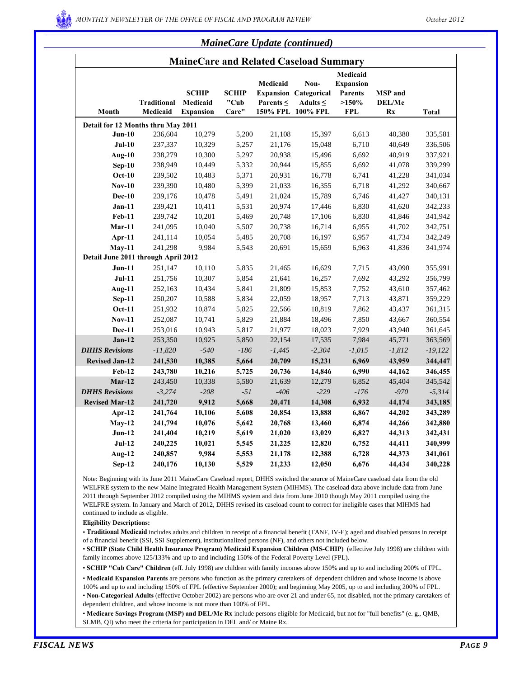

| <b>MaineCare Update (continued)</b> |  |  |
|-------------------------------------|--|--|
|                                     |  |  |

|                                     |                                |                                              |                               |                            | MaineCare and Related Caseload Summary                                     |                                                                       |                                       |              |
|-------------------------------------|--------------------------------|----------------------------------------------|-------------------------------|----------------------------|----------------------------------------------------------------------------|-----------------------------------------------------------------------|---------------------------------------|--------------|
| Month                               | <b>Traditional</b><br>Medicaid | <b>SCHIP</b><br>Medicaid<br><b>Expansion</b> | <b>SCHIP</b><br>"Cub<br>Care" | Medicaid<br>Parents $\leq$ | Non-<br><b>Expansion Categorical</b><br>Adults $\leq$<br>150% FPL 100% FPL | Medicaid<br><b>Expansion</b><br><b>Parents</b><br>>150%<br><b>FPL</b> | <b>MSP</b> and<br><b>DEL/Me</b><br>Rx | <b>Total</b> |
| Detail for 12 Months thru May 2011  |                                |                                              |                               |                            |                                                                            |                                                                       |                                       |              |
| $Jun-10$                            | 236,604                        | 10,279                                       | 5,200                         | 21,108                     | 15,397                                                                     | 6,613                                                                 | 40,380                                | 335,581      |
| $Jul-10$                            | 237,337                        | 10,329                                       | 5,257                         | 21,176                     | 15,048                                                                     | 6,710                                                                 | 40,649                                | 336,506      |
| Aug-10                              | 238,279                        | 10,300                                       | 5,297                         | 20,938                     | 15,496                                                                     | 6,692                                                                 | 40,919                                | 337,921      |
| $Sep-10$                            | 238,949                        | 10,449                                       | 5,332                         | 20,944                     | 15,855                                                                     | 6,692                                                                 | 41,078                                | 339,299      |
| <b>Oct-10</b>                       | 239,502                        | 10,483                                       | 5,371                         | 20,931                     | 16,778                                                                     | 6,741                                                                 | 41,228                                | 341,034      |
| <b>Nov-10</b>                       | 239,390                        | 10,480                                       | 5,399                         | 21,033                     | 16,355                                                                     | 6,718                                                                 | 41,292                                | 340,667      |
| $Dec-10$                            | 239,176                        | 10,478                                       | 5,491                         | 21,024                     | 15,789                                                                     | 6,746                                                                 | 41,427                                | 340,131      |
| $Jan-11$                            | 239,421                        | 10,411                                       | 5,531                         | 20,974                     | 17,446                                                                     | 6,830                                                                 | 41,620                                | 342,233      |
| <b>Feb-11</b>                       | 239,742                        | 10,201                                       | 5,469                         | 20,748                     | 17,106                                                                     | 6,830                                                                 | 41,846                                | 341,942      |
| $Mar-11$                            | 241,095                        | 10,040                                       | 5,507                         | 20,738                     | 16,714                                                                     | 6,955                                                                 | 41,702                                | 342,751      |
| Apr-11                              | 241,114                        | 10,054                                       | 5,485                         | 20,708                     | 16,197                                                                     | 6,957                                                                 | 41,734                                | 342,249      |
| $May-11$                            | 241,298                        | 9,984                                        | 5,543                         | 20,691                     | 15,659                                                                     | 6,963                                                                 | 41,836                                | 341,974      |
| Detail June 2011 through April 2012 |                                |                                              |                               |                            |                                                                            |                                                                       |                                       |              |
| $Jun-11$                            | 251,147                        | 10,110                                       | 5,835                         | 21,465                     | 16,629                                                                     | 7,715                                                                 | 43,090                                | 355,991      |
| $Jul-11$                            | 251,756                        | 10,307                                       | 5,854                         | 21,641                     | 16,257                                                                     | 7,692                                                                 | 43,292                                | 356,799      |
| Aug-11                              | 252,163                        | 10,434                                       | 5,841                         | 21,809                     | 15,853                                                                     | 7,752                                                                 | 43,610                                | 357,462      |
| $Sep-11$                            | 250,207                        | 10,588                                       | 5,834                         | 22,059                     | 18,957                                                                     | 7,713                                                                 | 43,871                                | 359,229      |
| <b>Oct-11</b>                       | 251,932                        | 10,874                                       | 5,825                         | 22,566                     | 18,819                                                                     | 7,862                                                                 | 43,437                                | 361,315      |
| <b>Nov-11</b>                       | 252,087                        | 10,741                                       | 5,829                         | 21,884                     | 18,496                                                                     | 7,850                                                                 | 43,667                                | 360,554      |
| <b>Dec-11</b>                       | 253,016                        | 10,943                                       | 5,817                         | 21,977                     | 18,023                                                                     | 7,929                                                                 | 43,940                                | 361,645      |
| $Jan-12$                            | 253,350                        | 10,925                                       | 5,850                         | 22,154                     | 17,535                                                                     | 7,984                                                                 | 45,771                                | 363,569      |
| <b>DHHS Revisions</b>               | $-11,820$                      | $-540$                                       | $-186$                        | $-1,445$                   | $-2,304$                                                                   | $-1,015$                                                              | $-1,812$                              | $-19,122$    |
| <b>Revised Jan-12</b>               | 241,530                        | 10,385                                       | 5,664                         | 20,709                     | 15,231                                                                     | 6,969                                                                 | 43,959                                | 344,447      |
| <b>Feb-12</b>                       | 243,780                        | 10,216                                       | 5,725                         | 20,736                     | 14,846                                                                     | 6,990                                                                 | 44,162                                | 346,455      |
| $Mar-12$                            | 243,450                        | 10,338                                       | 5,580                         | 21,639                     | 12,279                                                                     | 6,852                                                                 | 45,404                                | 345,542      |
| <b>DHHS Revisions</b>               | $-3,274$                       | $-208$                                       | $-51$                         | $-406$                     | $-229$                                                                     | $-176$                                                                | $-970$                                | $-5,314$     |
| <b>Revised Mar-12</b>               | 241,720                        | 9,912                                        | 5,668                         | 20,471                     | 14,308                                                                     | 6,932                                                                 | 44,174                                | 343,185      |
| Apr- $12$                           | 241,764                        | 10,106                                       | 5,608                         | 20,854                     | 13,888                                                                     | 6,867                                                                 | 44,202                                | 343,289      |
| $May-12$                            | 241,794                        | 10,076                                       | 5,642                         | 20,768                     | 13,460                                                                     | 6,874                                                                 | 44,266                                | 342,880      |
| $Jun-12$                            | 241,404                        | 10,219                                       | 5,619                         | 21,020                     | 13,029                                                                     | 6,827                                                                 | 44,313                                | 342,431      |
| $Jul-12$                            | 240,225                        | 10,021                                       | 5,545                         | 21,225                     | 12,820                                                                     | 6,752                                                                 | 44,411                                | 340,999      |
| <b>Aug-12</b>                       | 240,857                        | 9,984                                        | 5,553                         | 21,178                     | 12,388                                                                     | 6,728                                                                 | 44,373                                | 341,061      |
| $Sep-12$                            | 240,176                        | 10,130                                       | 5,529                         | 21,233                     | 12,050                                                                     | 6,676                                                                 | 44,434                                | 340,228      |

Note: Beginning with its June 2011 MaineCare Caseload report, DHHS switched the source of MaineCare caseload data from the old WELFRE system to the new Maine Integrated Health Management System (MIHMS). The caseload data above include data from June 2011 through September 2012 compiled using the MIHMS system and data from June 2010 though May 2011 compiled using the WELFRE system. In January and March of 2012, DHHS revised its caseload count to correct for ineligible cases that MIHMS had continued to include as eligible.

**Eligibility Descriptions:**

• **Traditional Medicaid** includes adults and children in receipt of a financial benefit (TANF, IV-E); aged and disabled persons in receipt of a financial benefit (SSI, SSI Supplement), institutionalized persons (NF), and others not included below.

• **SCHIP (State Child Health Insurance Program) Medicaid Expansion Children (MS-CHIP)** (effective July 1998) are children with family incomes above 125/133% and up to and including 150% of the Federal Poverty Level (FPL).

• **SCHIP "Cub Care" Children** (eff. July 1998) are children with family incomes above 150% and up to and including 200% of FPL.

• **Medicaid Expansion Parents** are persons who function as the primary caretakers of dependent children and whose income is above 100% and up to and including 150% of FPL (effective September 2000); and beginning May 2005, up to and including 200% of FPL.

• **Non-Categorical Adults** (effective October 2002) are persons who are over 21 and under 65, not disabled, not the primary caretakers of dependent children, and whose income is not more than 100% of FPL.

• **Medicare Savings Program (MSP) and DEL/Me Rx** include persons eligible for Medicaid, but not for "full benefits" (e. g., QMB, SLMB, QI) who meet the criteria for participation in DEL and/ or Maine Rx.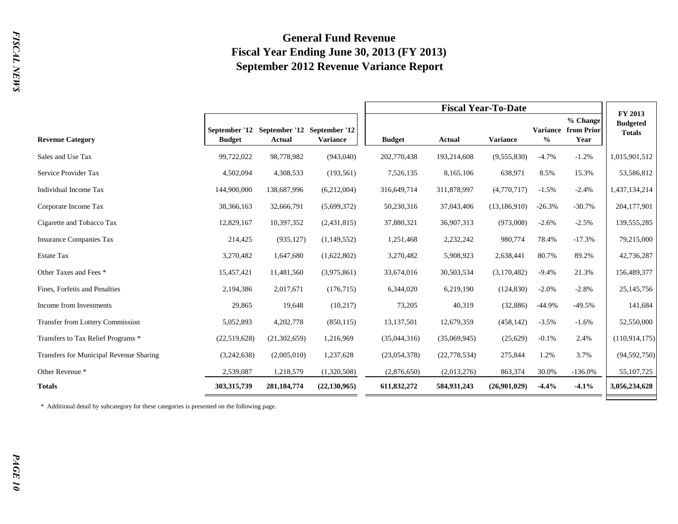## **General Fund Revenue Fiscal Year Ending June 30, 2013 (FY 2013) September 2012 Revenue Variance Report**

|                                         |                                |               |                                                |               | <b>Fiscal Year-To-Date</b> |                 |          |                                                |                                             |  |  |
|-----------------------------------------|--------------------------------|---------------|------------------------------------------------|---------------|----------------------------|-----------------|----------|------------------------------------------------|---------------------------------------------|--|--|
| <b>Revenue Category</b>                 | September '12<br><b>Budget</b> | <b>Actual</b> | September '12 September '12<br><b>Variance</b> | <b>Budget</b> | Actual                     | <b>Variance</b> | $\%$     | % Change<br><b>Variance from Prior</b><br>Year | FY 2013<br><b>Budgeted</b><br><b>Totals</b> |  |  |
| Sales and Use Tax                       | 99,722,022                     | 98,778,982    | (943,040)                                      | 202,770,438   | 193,214,608                | (9,555,830)     | $-4.7%$  | $-1.2%$                                        | 1,015,901,512                               |  |  |
| Service Provider Tax                    | 4,502,094                      | 4,308,533     | (193, 561)                                     | 7,526,135     | 8,165,106                  | 638,971         | 8.5%     | 15.3%                                          | 53,586,812                                  |  |  |
| Individual Income Tax                   | 144,900,000                    | 138,687,996   | (6,212,004)                                    | 316,649,714   | 311,878,997                | (4,770,717)     | $-1.5%$  | $-2.4%$                                        | 1,437,134,214                               |  |  |
| Corporate Income Tax                    | 38,366,163                     | 32,666,791    | (5,699,372)                                    | 50,230,316    | 37,043,406                 | (13, 186, 910)  | $-26.3%$ | $-30.7%$                                       | 204,177,901                                 |  |  |
| Cigarette and Tobacco Tax               | 12,829,167                     | 10,397,352    | (2,431,815)                                    | 37,880,321    | 36,907,313                 | (973,008)       | $-2.6%$  | $-2.5%$                                        | 139,555,285                                 |  |  |
| <b>Insurance Companies Tax</b>          | 214,425                        | (935, 127)    | (1,149,552)                                    | 1,251,468     | 2,232,242                  | 980,774         | 78.4%    | $-17.3%$                                       | 79,215,000                                  |  |  |
| <b>Estate Tax</b>                       | 3,270,482                      | 1,647,680     | (1,622,802)                                    | 3,270,482     | 5,908,923                  | 2,638,441       | 80.7%    | 89.2%                                          | 42,736,287                                  |  |  |
| Other Taxes and Fees *                  | 15,457,421                     | 11,481,560    | (3,975,861)                                    | 33,674,016    | 30,503,534                 | (3,170,482)     | $-9.4%$  | 21.3%                                          | 156,489,377                                 |  |  |
| Fines, Forfeits and Penalties           | 2,194,386                      | 2,017,671     | (176, 715)                                     | 6,344,020     | 6,219,190                  | (124, 830)      | $-2.0%$  | $-2.8%$                                        | 25, 145, 756                                |  |  |
| Income from Investments                 | 29,865                         | 19,648        | (10,217)                                       | 73,205        | 40,319                     | (32,886)        | $-44.9%$ | $-49.5%$                                       | 141,684                                     |  |  |
| <b>Transfer from Lottery Commission</b> | 5,052,893                      | 4,202,778     | (850, 115)                                     | 13,137,501    | 12,679,359                 | (458, 142)      | $-3.5%$  | $-1.6%$                                        | 52,550,000                                  |  |  |
| Transfers to Tax Relief Programs *      | (22,519,628)                   | (21,302,659)  | 1,216,969                                      | (35,044,316)  | (35,069,945)               | (25,629)        | $-0.1%$  | 2.4%                                           | (110, 914, 175)                             |  |  |
| Transfers for Municipal Revenue Sharing | (3,242,638)                    | (2,005,010)   | 1,237,628                                      | (23,054,378)  | (22, 778, 534)             | 275,844         | 1.2%     | 3.7%                                           | (94, 592, 750)                              |  |  |
| Other Revenue *                         | 2,539,087                      | 1,218,579     | (1,320,508)                                    | (2,876,650)   | (2,013,276)                | 863,374         | 30.0%    | $-136.0%$                                      | 55, 107, 725                                |  |  |
| <b>Totals</b>                           | 303,315,739                    | 281, 184, 774 | (22, 130, 965)                                 | 611,832,272   | 584,931,243                | (26,901,029)    | $-4.4%$  | $-4.1%$                                        | 3,056,234,628                               |  |  |

\* Additional detail by subcategory for these categories is presented on the following page.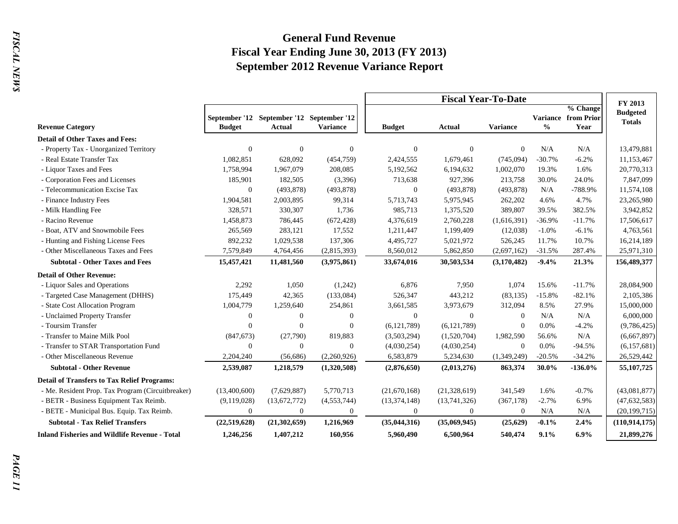## **General Fund Revenue Fiscal Year Ending June 30, 2013 (FY 2013) September 2012 Revenue Variance Report**

|                                                      |                |                                                            |                 |                | <b>Fiscal Year-To-Date</b> |                 |               |                                                |                                             |  |
|------------------------------------------------------|----------------|------------------------------------------------------------|-----------------|----------------|----------------------------|-----------------|---------------|------------------------------------------------|---------------------------------------------|--|
| <b>Revenue Category</b>                              | <b>Budget</b>  | September '12 September '12 September '12<br><b>Actual</b> | <b>Variance</b> | <b>Budget</b>  | Actual                     | <b>Variance</b> | $\frac{0}{0}$ | % Change<br><b>Variance from Prior</b><br>Year | FY 2013<br><b>Budgeted</b><br><b>Totals</b> |  |
| <b>Detail of Other Taxes and Fees:</b>               |                |                                                            |                 |                |                            |                 |               |                                                |                                             |  |
| - Property Tax - Unorganized Territory               | $\overline{0}$ | $\theta$                                                   | $\mathbf{0}$    | $\theta$       | $\boldsymbol{0}$           | $\overline{0}$  | N/A           | N/A                                            | 13,479,881                                  |  |
| - Real Estate Transfer Tax                           | 1,082,851      | 628,092                                                    | (454, 759)      | 2,424,555      | 1,679,461                  | (745,094)       | $-30.7%$      | $-6.2%$                                        | 11,153,467                                  |  |
| - Liquor Taxes and Fees                              | 1,758,994      | 1,967,079                                                  | 208,085         | 5,192,562      | 6,194,632                  | 1,002,070       | 19.3%         | 1.6%                                           | 20,770,313                                  |  |
| - Corporation Fees and Licenses                      | 185,901        | 182,505                                                    | (3,396)         | 713,638        | 927,396                    | 213,758         | 30.0%         | 24.0%                                          | 7,847,099                                   |  |
| - Telecommunication Excise Tax                       | $\theta$       | (493, 878)                                                 | (493, 878)      | $\mathbf{0}$   | (493, 878)                 | (493, 878)      | N/A           | -788.9%                                        | 11,574,108                                  |  |
| - Finance Industry Fees                              | 1,904,581      | 2,003,895                                                  | 99,314          | 5,713,743      | 5,975,945                  | 262,202         | 4.6%          | 4.7%                                           | 23,265,980                                  |  |
| - Milk Handling Fee                                  | 328,571        | 330,307                                                    | 1,736           | 985,713        | 1,375,520                  | 389,807         | 39.5%         | 382.5%                                         | 3,942,852                                   |  |
| - Racino Revenue                                     | 1,458,873      | 786,445                                                    | (672, 428)      | 4,376,619      | 2,760,228                  | (1,616,391)     | $-36.9%$      | $-11.7%$                                       | 17,506,617                                  |  |
| - Boat, ATV and Snowmobile Fees                      | 265,569        | 283,121                                                    | 17,552          | 1,211,447      | 1,199,409                  | (12,038)        | $-1.0%$       | $-6.1%$                                        | 4,763,561                                   |  |
| - Hunting and Fishing License Fees                   | 892,232        | 1,029,538                                                  | 137,306         | 4,495,727      | 5,021,972                  | 526,245         | 11.7%         | 10.7%                                          | 16,214,189                                  |  |
| - Other Miscellaneous Taxes and Fees                 | 7,579,849      | 4,764,456                                                  | (2,815,393)     | 8,560,012      | 5,862,850                  | (2,697,162)     | $-31.5%$      | 287.4%                                         | 25,971,310                                  |  |
| <b>Subtotal - Other Taxes and Fees</b>               | 15,457,421     | 11,481,560                                                 | (3,975,861)     | 33,674,016     | 30,503,534                 | (3,170,482)     | $-9.4%$       | 21.3%                                          | 156,489,377                                 |  |
| <b>Detail of Other Revenue:</b>                      |                |                                                            |                 |                |                            |                 |               |                                                |                                             |  |
| - Liquor Sales and Operations                        | 2,292          | 1,050                                                      | (1,242)         | 6,876          | 7,950                      | 1,074           | 15.6%         | $-11.7%$                                       | 28,084,900                                  |  |
| - Targeted Case Management (DHHS)                    | 175,449        | 42,365                                                     | (133,084)       | 526,347        | 443,212                    | (83, 135)       | $-15.8%$      | $-82.1%$                                       | 2,105,386                                   |  |
| - State Cost Allocation Program                      | 1,004,779      | 1,259,640                                                  | 254,861         | 3,661,585      | 3,973,679                  | 312,094         | 8.5%          | 27.9%                                          | 15,000,000                                  |  |
| - Unclaimed Property Transfer                        | $\overline{0}$ | $\theta$                                                   | $\overline{0}$  | $\mathbf{0}$   | $\mathbf{0}$               | $\overline{0}$  | N/A           | N/A                                            | 6,000,000                                   |  |
| - Toursim Transfer                                   | $\Omega$       | $\Omega$                                                   | $\overline{0}$  | (6, 121, 789)  | (6, 121, 789)              | $\Omega$        | 0.0%          | $-4.2%$                                        | (9,786,425)                                 |  |
| - Transfer to Maine Milk Pool                        | (847, 673)     | (27,790)                                                   | 819,883         | (3,503,294)    | (1,520,704)                | 1,982,590       | 56.6%         | N/A                                            | (6,667,897)                                 |  |
| - Transfer to STAR Transportation Fund               | $\overline{0}$ | $\overline{0}$                                             | $\mathbf{0}$    | (4,030,254)    | (4,030,254)                | $\overline{0}$  | 0.0%          | $-94.5%$                                       | (6,157,681)                                 |  |
| - Other Miscellaneous Revenue                        | 2,204,240      | (56,686)                                                   | (2,260,926)     | 6,583,879      | 5,234,630                  | (1,349,249)     | $-20.5%$      | $-34.2%$                                       | 26,529,442                                  |  |
| <b>Subtotal - Other Revenue</b>                      | 2,539,087      | 1,218,579                                                  | (1,320,508)     | (2,876,650)    | (2,013,276)                | 863,374         | 30.0%         | $-136.0%$                                      | 55, 107, 725                                |  |
| <b>Detail of Transfers to Tax Relief Programs:</b>   |                |                                                            |                 |                |                            |                 |               |                                                |                                             |  |
| - Me. Resident Prop. Tax Program (Circuitbreaker)    | (13,400,600)   | (7,629,887)                                                | 5,770,713       | (21,670,168)   | (21, 328, 619)             | 341,549         | 1.6%          | $-0.7%$                                        | (43,081,877)                                |  |
| - BETR - Business Equipment Tax Reimb.               | (9,119,028)    | (13,672,772)                                               | (4, 553, 744)   | (13, 374, 148) | (13,741,326)               | (367, 178)      | $-2.7%$       | 6.9%                                           | (47, 632, 583)                              |  |
| - BETE - Municipal Bus. Equip. Tax Reimb.            | $\theta$       | $\theta$                                                   | $\Omega$        | $\Omega$       | $\mathbf{0}$               | $\Omega$        | N/A           | N/A                                            | (20, 199, 715)                              |  |
| <b>Subtotal - Tax Relief Transfers</b>               | (22,519,628)   | (21, 302, 659)                                             | 1,216,969       | (35, 044, 316) | (35,069,945)               | (25, 629)       | $-0.1%$       | 2.4%                                           | (110, 914, 175)                             |  |
| <b>Inland Fisheries and Wildlife Revenue - Total</b> | 1,246,256      | 1,407,212                                                  | 160,956         | 5,960,490      | 6,500,964                  | 540,474         | 9.1%          | 6.9%                                           | 21,899,276                                  |  |